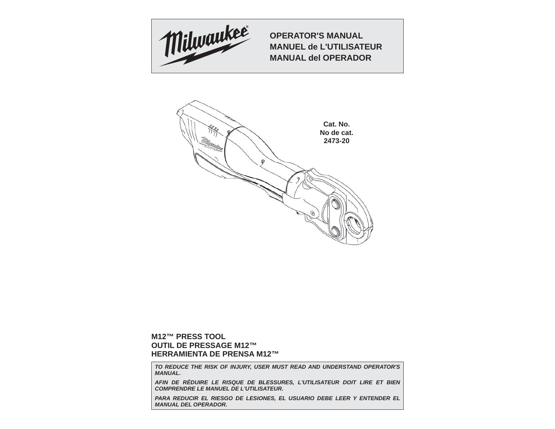

**OPERATOR'S MANUALMANUEL de L'UTILISATEURMANUAL del OPERADOR**



# **M12™ PRESS TOOLOUTIL DE PRESSAGE M12™HERRAMIENTA DE PRENSA M12™**

*TO REDUCE THE RISK OF INJURY, USER MUST READ AND UNDERSTAND OPERATOR'S MANUAL.*

*AFIN DE RÉDUIRE LE RISQUE DE BLESSURES, L'UTILISATEUR DOIT LIRE ET BIEN COMPRENDRE LE MANUEL DE L'UTILISATEUR.*

**PARA REDUCIR EL RIESGO DE LESIONES, EL USUARIO DEBE LEER Y ENTENDER EL** *MANUAL DEL OPERADOR.*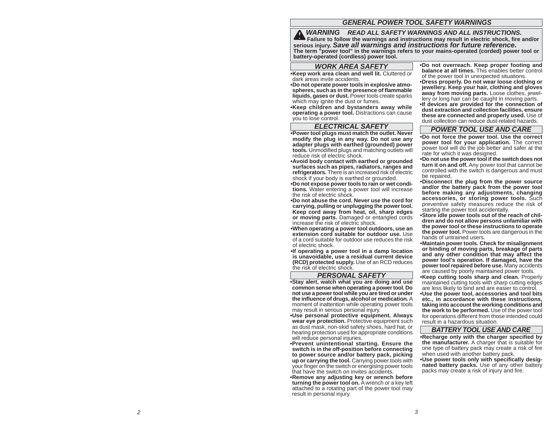# *GENERAL POWER TOOL SAFETY WARNINGS*

*WARNING READ ALL SAFETY WARNINGS AND ALL INSTRUCTIONS.*  **Failure to follow the warnings and instructions may result in electric shock, fire and/or serious injury.** *Save all warnings and instructions for future reference.* **The term "power tool" in the warnings refers to your mains-operated (corded) power tool or battery-operated (cordless) power tool.**

# *WORK AREA SAFETY*

**• Keep work area clean and well lit.** Cluttered or dark areas invite accidents.

**• Do not operate power tools in explosive atmospheres, such as in the presence of fl ammable liquids, gases or dust.** Power tools create sparks which may ignite the dust or fumes.

**• Keep children and bystanders away while operating a power tool.** Distractions can cause you to lose control.

## *ELECTRICAL SAFETY*

**• Power tool plugs must match the outlet. Never modify the plug in any way. Do not use any adapter plugs with earthed (grounded) power tools.** Unmodified plugs and matching outlets will reduce risk of electric shock.

**• Avoid body contact with earthed or grounded surfaces such as pipes, radiators, ranges and refrigerators.** There is an increased risk of electric shock if your body is earthed or grounded.

**• Do not expose power tools to rain or wet conditions.** Water entering a power tool will increase the risk of electric shock.

**• Do not abuse the cord. Never use the cord for carrying, pulling or unplugging the power tool. Keep cord away from heat, oil, sharp edges or moving parts.** Damaged or entangled cords increase the risk of electric shock.

**• When operating a power tool outdoors, use an extension cord suitable for outdoor use.** Use of a cord suitable for outdoor use reduces the risk of electric shock.

**• If operating a power tool in a damp location is unavoidable, use a residual current device (RCD) protected supply.** Use of an RCD reduces the risk of electric shock.

#### *PERSONAL SAFETY*

**• Stay alert, watch what you are doing and use common sense when operating a power tool. Do not use a power tool while you are tired or under the infl uence of drugs, alcohol or medication.** A moment of inattention while operating power tools may result in serious personal injury.

**• Use personal protective equipment. Always wear eye protection.** Protective equipment such as dust mask, non-skid safety shoes, hard hat, or hearing protection used for appropriate conditions will reduce personal injuries.

**• Prevent unintentional starting. Ensure the switch is in the off-position before connecting to power source and/or battery pack, picking up or carrying the tool.** Carrying power tools with your finger on the switch or energising power tools that have the switch on invites accidents.

**• Remove any adjusting key or wrench before turning the power tool on.** A wrench or a key left attached to a rotating part of the power tool may result in personal injury.

**• Do not overreach. Keep proper footing and balance at all times.** This enables better control of the power tool in unexpected situations.

**• Dress properly. Do not wear loose clothing or jewellery. Keep your hair, clothing and gloves**  away from moving parts. Loose clothes, jewellery or long hair can be caught in moving parts.

**• If devices are provided for the connection of dust extraction and collection facilities, ensure these are connected and properly used.** Use of dust collection can reduce dust-related hazards.

#### *POWER TOOL USE AND CARE*

**• Do not force the power tool. Use the correct power tool for your application.** The correct power tool will do the job better and safer at the rate for which it was designed.

**• Do not use the power tool if the switch does not turn it on and off.** Any power tool that cannot be controlled with the switch is dangerous and must be repaired.

**• Disconnect the plug from the power source and/or the battery pack from the power tool before making any adjustments, changing accessories, or storing power tools.** Such preventive safety measures reduce the risk of starting the power tool accidentally.

**• Store idle power tools out of the reach of children and do not allow persons unfamiliar with the power tool or these instructions to operate the power tool.** Power tools are dangerous in the hands of untrained users.

**• Maintain power tools. Check for misalignment or binding of moving parts, breakage of parts and any other condition that may affect the power tool's operation. If damaged, have the power tool repaired before use.** Many accidents are caused by poorly maintained power tools.

**• Keep cutting tools sharp and clean.** Properly maintained cutting tools with sharp cutting edges are less likely to bind and are easier to control.

**• Use the power tool, accessories and tool bits etc., in accordance with these instructions, taking into account the working conditions and the work to be performed.** Use of the power tool for operations different from those intended could result in a hazardous situation.

# *BATTERY TOOL USE AND CARE*

**• Recharge only with the charger specified by the manufacturer.** A charger that is suitable for one type of battery pack may create a risk of fire when used with another battery pack.

**• Use power tools only with specifi cally designated battery packs.** Use of any other battery packs may create a risk of injury and fire.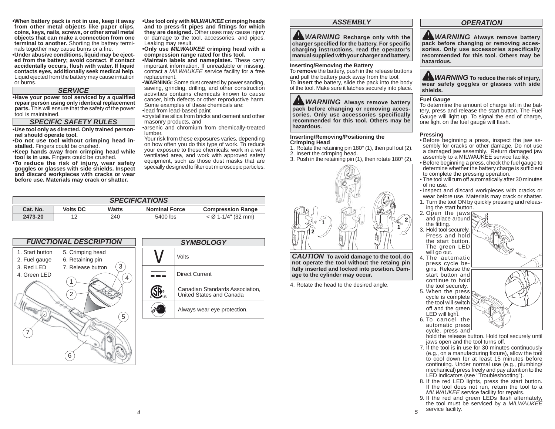**• When battery pack is not in use, keep it away from other metal objects like paper clips, coins, keys, nails, screws, or other small metal objects that can make a connection from one terminal to another.** Shorting the battery terminals together may cause burns or a fire.

**• Under abusive conditions, liquid may be ejected from the battery; avoid contact. If contact accidentally occurs, fl ush with water. If liquid contacts eyes, additionally seek medical help.**  Liquid ejected from the battery may cause irritation or burns.

### *SERVICE*

 **• Have your power tool serviced by a qualifi ed repair person using only identical replacement parts.** This will ensure that the safety of the power tool is maintained.

### *SPECIFIC SAFETY RULES*

**• Use tool only as directed. Only trained personnel should operate tool.** 

**• Do not use tool without crimping head installed.** Fingers could be crushed.

**• Keep hands away from crimping head while tool is in use.** Fingers could be crushed.

•**To reduce the risk of injury, wear safety goggles or glasses with side shields. Inspect and discard workpieces with cracks or wear before use. Materials may crack or shatter.** 

**• Use tool only with** *MILWAUKEE* **crimping heads**  and to press-fit pipes and fittings for which **they are designed.** Other uses may cause injury or damage to the tool, accessories, and pipes. Leaking may result.

**• Only use** *MILWAUKEE* **crimping head with a compression range rated for this tool.**

**• Maintain labels and nameplates.** These carry important information. If unreadable or missing, contact a *MILWAUKEE* service facility for a free replacement.

**• WARNING:** Some dust created by power sanding, sawing, grinding, drilling, and other construction activities contains chemicals known to cause cancer, birth defects or other reproductive harm. Some examples of these chemicals are:

• lead from lead-based paint

• crystalline silica from bricks and cement and other masonry products, and

• arsenic and chromium from chemically-treated lumber.

 Your risk from these exposures varies, depending on how often you do this type of work. To reduce your exposure to these chemicals: work in a well ventilated area, and work with approved safety equipment, such as those dust masks that are specially designed to filter out microscopic particles.

| <b>SPECIFICATIONS</b> |                 |              |                      |                          |
|-----------------------|-----------------|--------------|----------------------|--------------------------|
| Cat. No.              | <b>Volts DC</b> | <b>Watts</b> | <b>Nominal Force</b> | <b>Compression Range</b> |
| 2473-20               | 12              | 240          | 5400 lbs             | $<$ Ø 1-1/4" (32 mm)     |



| N | <b>SYMBOLOGY</b> |                                                             |  |
|---|------------------|-------------------------------------------------------------|--|
|   |                  | Volts                                                       |  |
|   |                  | <b>Direct Current</b>                                       |  |
|   |                  | Canadian Standards Association,<br>United States and Canada |  |
|   |                  | Always wear eye protection.                                 |  |

# *ASSEMBLY*

*WARNING* Recharge only with the **charger specifi ed for the battery. For specifi<sup>c</sup> charging instructions, read the operator's manual supplied with your charger and battery.**

#### **Inserting/Removing the Battery**

To **remove** the battery, push in the release buttons and pull the battery pack away from the tool. To **insert** the battery, slide the pack into the body of the tool. Make sure it latches securely into place.

*WARNING* **Always remove battery pack before changing or removing accessories. Only use accessories specifically recommended for this tool. Others may be hazardous.**

### **Inserting/Removing/Positioning the Crimping Head**

- 1. Rotate the retaining pin 180° (1), then pull out (2).
- 2. Insert the crimping head.
- 3. Push in the retaining pin (1), then rotate 180° (2).



*CAUTION* **To avoid damage to the tool, do not operate the tool without the retaing pin fully inserted and locked into position. Damage to the cylinder may occur.**

4. Rotate the head to the desired angle.

# *OPERATION*

**A** WARNING Always remove battery **pack before changing or removing accessories. Only use accessories specifically recommended for this tool. Others may be hazardous.**



#### **Fuel Gauge**

To determine the amount of charge left in the battery, press and release the start button. The Fuel Gauge will light up. To signal the end of charge, one light on the fuel gauge will flash.

#### **Pressing**

- Before beginning a press, inspect the jaw assembly for cracks or other damage. Do not use a damaged jaw assembly. Return damaged jaw assembly to a MILWAUKEE service facility.
- Before beginning a press, check the fuel gauge to determine whether the battery charge is sufficient to complete the pressing operation.
- The tool will turn off automatically after 30 minutes of no use.
- Inspect and discard workpieces with cracks or wear before use. Materials may crack or shatter.
- 1. Turn the tool ON by quickly pressing and releasing the start button.
- 2. Open the jaws  $\sum$ and place around the fitting.
- 3. Hold tool securely. Press and hold the start button. The green LED will go out.
- 4. The automatic press cycle begins. Release the start button and continue to hold the tool securely.
- 5. When the press cycle is complete the tool will switch off and the green LED will light. 6. To cancel the

automatic press cycle, press and

- hold the release button. Hold tool securely until jaws open and the tool turns off.
- 7. If the tool is in use for 30 minutes continuously (e.g., on a manufacturing fixture), allow the tool to cool down for at least 15 minutes before continuing. Under normal use (e.g., plumbing/ mechanical) press freely and pay attention to the LED indicators (see "Troubleshooting").
- 8. If the red LED lights, press the start button. If the tool does not run, return the tool to a *MILWAUKEE* service facility for repairs.
- 9. If the red and green LEDs flash alternately, the tool must be serviced by a *MILWAUKEE* service facility.

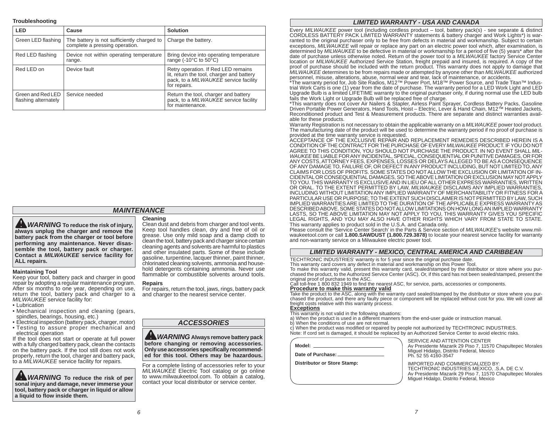#### **Troubleshooting**

| LED                                       | Cause                                                                        | <b>Solution</b>                                                                                                                           |
|-------------------------------------------|------------------------------------------------------------------------------|-------------------------------------------------------------------------------------------------------------------------------------------|
| Green LED flashing                        | The battery is not sufficiently charged to<br>complete a pressing operation. | Charge the battery.                                                                                                                       |
| Red LED flashing                          | Device not within operating temperature<br>range.                            | Bring device into operating temperature<br>range $(-10^{\circ}$ C to $50^{\circ}$ C)                                                      |
| Red LED on                                | Device fault                                                                 | Retry operation. If Red LED remains<br>lit, return the tool, charger and battery<br>pack, to a MILWAUKEE service facility<br>for repairs. |
| Green and Red LED<br>flashing alternately | Service needed                                                               | Return the tool, charger and battery<br>pack, to a MILWAUKEE service facility<br>for maintenance.                                         |

# *MAINTENANCE*

*WARNING* **To reduce the risk of injury, always unplug the charger and remove the battery pack from the charger or tool before performing any maintenance. Never disassemble the tool, battery pack or charger. Contact a** *MILWAUKEE* **service facility for ALL repairs.**

### **Maintaining Tool**

Keep your tool, battery pack and charger in good repair by adopting a regular maintenance program. After six months to one year, depending on use, return the tool, battery pack and charger to a *MILWAUKEE* service facility for:

- Lubrication
- Mechanical inspection and cleaning (gears, spindles, bearings, housing, etc.)
- Electrical inspection (battery pack, charger, motor)
- Testing to assure proper mechanical and electrical operation

If the tool does not start or operate at full power with a fully charged battery pack, clean the contacts on the battery pack. If the tool still does not work properly, return the tool, charger and battery pack, to a *MILWAUKEE* service facility for repairs.

**WARNING** To reduce the risk of per **sonal injury and damage, never immerse your tool, battery pack or charger in liquid or allow a liquid to fl ow inside them.**

#### **Cleaning**

Clean dust and debris from charger and tool vents. Keep tool handles clean, dry and free of oil or grease. Use only mild soap and a damp cloth to clean the tool, battery pack and charger since certain cleaning agents and solvents are harmful to plastics and other insulated parts. Some of these include gasoline, turpentine, lacquer thinner, paint thinner, chlorinated cleaning solvents, ammonia and household detergents containing ammonia. Never use flammable or combustible solvents around tools.

# **Repairs**

For repairs, return the tool, jaws, rings, battery pack and charger to the nearest service center.

*ACCESSORIES*

*WARNING* **Always remove battery pack before changing or removing accessories.**  Only use accessories specifically recommend**ed for this tool. Others may be hazardous.** 

For a complete listing of accessories refer to your *MILWAUKEE* Electric Tool catalog or go online to www.milwaukeetool.com. To obtain a catalog, contact your local distributor or service center.

### *LIMITED WARRANTY - USA AND CANADA*

Every *MILWAUKEE* power tool (including cordless product – tool, battery pack(s) - see separate & distinct CORDLESS BATTERY PACK LIMITED WARRANTY statements & battery charger and Work Lights\*) is warranted to the original purchaser only to be free from defects in material and workmanship. Subject to certain exceptions, *MILWAUKEE* will repair or replace any part on an electric power tool which, after examination, is determined by *MILWAUKEE* to be defective in material or workmanship for a period of five (5) years\* after the date of purchase unless otherwise noted. Return of the power tool to a *MILWAUKEE* factory Service Center location or *MILWAUKEE* Authorized Service Station, freight prepaid and insured, is required. A copy of the proof of purchase should be included with the return product. This warranty does not apply to damage that *MILWAUKEE* determines to be from repairs made or attempted by anyone other than *MILWAUKEE* authorized

personnel, misuse, alterations, abuse, normal wear and tear, lack of maintenance, or accidents.<br>\*The warranty period for, Job Site Radios, M12™ Power Port, M18™ Power Source, and Trade Titan™ Industrial Work Carts is one (1) year from the date of purchase. The warranty period for a LED Work Light and LED Upgrade Bulb is a limited LIFETIME warranty to the original purchaser only, if during normal use the LED bulb fails the Work Light or Upgrade Bulb will be replaced free of charge.

\*This warranty does not cover Air Nailers & Stapler, Airless Paint Sprayer, Cordless Battery Packs, Gasoline Driven Portable Power Generators, Hand Tools, Hoist – Electric, Lever & Hand Chain, M12™ Heated Jackets, Reconditioned product and Test & Measurement products. There are separate and distinct warranties available for these products.

Warranty Registration is not necessary to obtain the applicable warranty on a *MILWAUKEE* power tool product. The manufacturing date of the product will be used to determine the warranty period if no proof of purchase is provided at the time warranty service is requested.

ACCEPTANCE OF THE EXCLUSIVE REPAIR AND REPLACEMENT REMEDIES DESCRIBED HEREIN IS A CONDITION OF THE CONTRACT FOR THE PURCHASE OF EVERY *MILWAUKEE* PRODUCT. IF YOU DO NOT AGREE TO THIS CONDITION, YOU SHOULD NOT PURCHASE THE PRODUCT. IN NO EVENT SHALL *MIL-WAUKEE* BE LIABLE FOR ANY INCIDENTAL, SPECIAL, CONSEQUENTIAL OR PUNITIVE DAMAGES, OR FOR ANY COSTS, ATTORNEY FEES, EXPENSES, LOSSES OR DELAYS ALLEGED TO BE AS A CONSEQUENCE OF ANY DAMAGE TO, FAILURE OF, OR DEFECT IN ANY PRODUCT INCLUDING, BUT NOT LIMITED TO, ANY CLAIMS FOR LOSS OF PROFITS. SOME STATES DO NOT ALLOW THE EXCLUSION OR LIMITATION OF IN-CIDENTAL OR CONSEQUENTIAL DAMAGES, SO THE ABOVE LIMITATION OR EXCLUSION MAY NOT APPLY TO YOU. THIS WARRANTY IS EXCLUSIVE AND IN LIEU OF ALL OTHER EXPRESS WARRANTIES, WRITTEN OR ORAL. TO THE EXTENT PERMITTED BY LAW, *MILWAUKEE* DISCLAIMS ANY IMPLIED WARRANTIES, INCLUDING WITHOUT LIMITATION ANY IMPLIED WARRANTY OF MERCHANTABILITY OR FITNESS FOR A PARTICULAR USE OR PURPOSE; TO THE EXTENT SUCH DISCLAIMER IS NOT PERMITTED BY LAW, SUCH IMPLIED WARRANTIES ARE LIMITED TO THE DURATION OF THE APPLICABLE EXPRESS WARRANTY AS DESCRIBED ABOVE. SOME STATES DO NOT ALLOW LIMITATIONS ON HOW LONG AN IMPLIED WARRANTY LASTS, SO THE ABOVE LIMITATION MAY NOT APPLY TO YOU, THIS WARRANTY GIVES YOU SPECIFIC LEGAL RIGHTS, AND YOU MAY ALSO HAVE OTHER RIGHTS WHICH VARY FROM STATE TO STATE. This warranty applies to product sold in the U.S.A. and Canada only.

Please consult the 'Service Center Search' in the Parts & Service section of *MILWAUKEE*'s website www.milwaukeetool.com or call **1.800.SAWDUST (1.800.729.3878)** to locate your nearest service facility for warranty and non-warranty service on a Milwaukee electric power tool.

# *LIMITED WARRANTY - MEXICO, CENTRAL AMERICA AND CARIBBEAN*

TECHTRONIC INDUSTRIES' warranty is for 5 year since the original purchase date.

This warranty card covers any defect in material and workmanship on this Power Tool.

To make this warranty valid, present this warranty card, sealed/stamped by the distributor or store where you purchased the product, to the Authorized Service Center (ASC). Or, if this card has not been sealed/stamped, present the original proof of purchase to the ASC.

Call toll-free 1 800 832 1949 to find the nearest ASC, for service, parts, accessories or components.<br>Procedure to make this warranty valid

Take the product to the ASC, along with the warranty card sealed/stamped by the distributor or store where you purchased the product, and there any faulty piece or component will be replaced without cost for you. We will cover all freight costs relative with this warranty process. **Exceptions**

- This warranty is not valid in the following situations:
- a) When the product is used in a different manners from the end-user guide or instruction manual.
- b) When the conditions of use are not normal.
- c) When the product was modified or repaired by people not authorized by TECHTRONIC INDUSTRIES.
- Note: If cord set is damaged, it should be replaced by an Authorized Service Center to avoid electric risks.

**Model:**

**Date of Purchase:**

**Distributor or Store Stamp:**

 SERVICE AND ATTENTION CENTERAv Presidente Mazarik 29 Piso 7, 11570 Chapultepec Morales (National Laterature 20 Piso 7, 11570 Chapultepec Morales Miguel Hidalgo, Distrito Federal, Mexico Ph. 52 55 4160-3547

 IMPORTED AND COMMERCIALIZED BY:TECHTRONIC INDUSTRIES MEXICO, .S.A. DE C.V. Av Presidente Mazarik 29 Piso 7, 11570 Chapultepec Morales Miguel Hidalgo, Distrito Federal, Mexico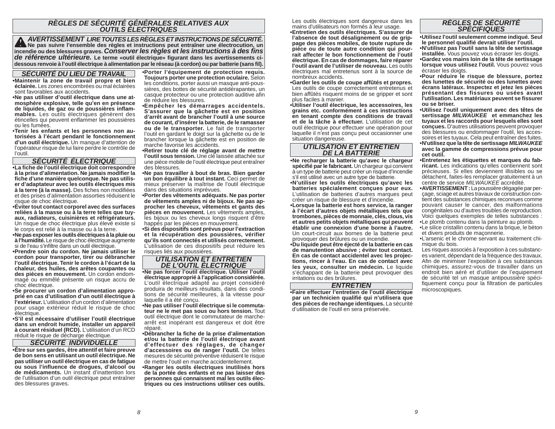# *RÈGLES DE SÉCURITÉ GÉNÉRALES RELATIVES AUX OUTILS ÉLECTRIQUES*

 *AVERTISSEMENT LIRE TOUTES LES RÈGLES ET INSTRUCTIONS DE SÉCURITÉ.* **Ne pas suivre l'ensemble des règles et instructions peut entraîner une électrocution, un**  incendie ou des blessures graves. *Conserver les règles et les instructions à des fins de référence ultérieure.* **Le terme «outil électrique» figurant dans les avertissements cidessous renvoie à l'outil électrique à alimentation par le réseau (à cordon) ou par batterie (sans fi l).**

# *SÉCURITÉ DU LIEU DE TRAVAIL*

**• Maintenir la zone de travail propre et bien éclairée.** Les zones encombrées ou mal éclairées sont favorables aux accidents.

**• Ne pas utiliser d'outil électrique dans une atmosphère explosive, telle qu'en en présence de liquides, de gaz ou de poussières infl ammables.** Les outils électriques génèrent des étincelles qui peuvent enflammer les poussières ou les fumées.

 **• Tenir les enfants et les personnes non autorisées à l'écart pendant le fonctionnement d'un outil électrique.** Un manque d'attention de l'opérateur risque de lui faire perdre le contrôle de l'outil.

## *SÉCURITÉ ÉLECTRIQUE*

**• La fi che de l'outil électrique doit correspondre à la prise d'alimentation. Ne jamais modifi er la**  fiche d'une manière quelconque. Ne pas utilis**er d'adaptateur avec les outils électriques mis à la terre (à la masse).** Des fiches non modifiées et des prises d'alimentation assorties réduisent le risque de choc électrique.

**• Éviter tout contact corporel avec des surfaces reliées à la masse ou à la terre telles que tuyaux, radiateurs, cuisinières et réfrigérateurs.**  Un risque de choc électrique plus élevé existe si le corps est relié à la masse ou à la terre.

**• Ne pas exposer les outils électriques à la pluie ou à l'humidité.** Le risque de choc électrique augmente si de l'eau s'infiltre dans un outil électrique.

**• Prendre soin du cordon. Ne jamais utiliser le cordon pour transporter, tirer ou débrancher l'outil électrique. Tenir le cordon à l'écart de la chaleur, des huiles, des arêtes coupantes ou des pièces en mouvement.** Un cordon endommagé ou emmêlé présente un risque accru de choc électrique.

**• Se procurer un cordon d'alimentation approprié en cas d'utilisation d'un outil électrique à l'extérieur.** L'utilisation d'un cordon d'alimentation pour usage extérieur réduit le risque de choc électrique.

**• S'il est nécessaire d'utiliser l'outil électrique dans un endroit humide, installer un appareil à courant résiduel (RCD).** L'utilisation d'un RCD réduit le risque de décharge électrique.

## *SÉCURITÉ INDIVIDUELLE*

**• Être sur ses gardes, être attentif et faire preuve de bon sens en utilisant un outil électrique. Ne pas utiliser un outil électrique en cas de fatigue ou sous l'infl uence de drogues, d'alcool ou de médicaments.** Un instant d'inattention lors de l'utilisation d'un outil électrique peut entraîner des blessures graves.

**• Porter l'équipement de protection requis. Toujours porter une protection oculaire.** Selon les conditions, porter aussi un masque anti-poussières, des bottes de sécurité antidérapantes, un casque protecteur ou une protection auditive afi<sup>n</sup> de réduire les blessures.

 **• Empêcher les démarrages accidentels. S'assurer que la gâchette est en position d'arrêt avant de brancher l'outil à une source de courant, d'insérer la batterie, de le ramasser ou de le transporter.** Le fait de transporter

l'outil en gardant le doigt sur la gâchette ou de le brancher lorsque la gâchette est en position de marche favorise les accidents.

 **• Retirer toute clé de réglage avant de mettre l'outil sous tension.** Une clé laissée attachée sur une pièce mobile de l'outil électrique peut entraîner des blessures.

 **• Ne pas travailler à bout de bras. Bien garder un bon équilibre à tout instant.** Ceci permet de mieux préserver la maîtrise de l'outil électrique dans des situations imprévues.

**• Porter des vêtements adéquats. Ne pas porter de vêtements amples ni de bijoux. Ne pas approcher les cheveux, vêtements et gants des pièces en mouvement.** Les vêtements amples, les bijoux ou les cheveux longs risquent d'être happés par les pièces en mouvement.

**• Si des dispositifs sont prévus pour l'extraction et la récupération des poussières, vérifier qu'ils sont connectés et utilisés correctement.**  L'utilisation de ces dispositifs peut réduire les risques liés aux poussières.

# *UTILISATION ET ENTRETIEN DE L'OUTIL ÉLECTRIQUE*

 **• Ne pas forcer l'outil électrique. Utiliser l'outil électrique approprié à l'application considérée.** L'outil électrique adapté au projet considéré produira de meilleurs résultats, dans des conditions de sécurité meilleures, à la vitesse pour laquelle il a été conçu.

**• Ne pas utiliser l'outil électrique si le commutateur ne le met pas sous ou hors tension.** Tout outil électrique dont le commutateur de marchearrêt est inopérant est dangereux et doit être réparé.

**• Débrancher la fi che de la prise d'alimentation et/ou la batterie de l'outil électrique avant d'effectuer des réglages, de changer d'accessoires ou de ranger l'outil.** De telles mesures de sécurité préventive réduisent le risque de mettre l'outil en marche accidentellement.

 **• Ranger les outils électriques inutilisés hors de la portée des enfants et ne pas laisser des personnes qui connaissent mal les outils électriques ou ces instructions utiliser ces outils.** 

Les outils électriques sont dangereux dans les **RÈGLES DE SÉCURITÉ**<br>mains d'utilisateurs non formés à leur usage.<br>**• Entretien des outils électriques. S'assurer de entre les préférieurs de la préférieur de la préférieur** 

**l'absence de tout désalignement ou de grippage des pièces mobiles, de toute rupture de pièce ou de toute autre condition qui pourrait affecter le bon fonctionnement de l'outil électrique. En cas de dommages, faire réparer l'outil avant de l'utiliser de nouveau.** Les outils électriques mal entretenus sont à la source de nombreux accidents.

 **• Garder les outils de coupe affûtés et propres.** Les outils de coupe correctement entretenus et bien affûtés risquent moins de se gripper et sont plus faciles à manier.

**• Utiliser l'outil électrique, les accessoires, les grains etc. conformément à ces instructions en tenant compte des conditions de travail et de la tâche à effectuer.** L'utilisation de cet outil électrique pour effectuer une opération pour laquelle il n'est pas conçu peut occasionner une situation dangereuse.

# *UTILISATION ET ENTRETIEN DE LA BATTERIE*

**• Ne recharger la batterie qu'avec le chargeur spécifi é par le fabricant.** Un chargeur qui convient à un type de batterie peut créer un risque d'incendie <sup>s</sup>'il est utilisé avec un autre type de batterie.

**• N'utiliser les outils électriques qu'avec les batteries spécialement conçues pour eux.**  L'utilisation de batteries d'autres marques peut créer un risque de blessure et d'incendie.

**• Lorsque la batterie est hors service, la ranger à l'écart d'autres objets métalliques tels que trombones, pièces de monnaie, clés, clous, vis et autres petits objets métalliques qui peuvent établir une connexion d'une borne à l'autre.** Un court-circuit aux bornes de la batterie peut provoquer des brûlures ou un incendie.

**• Du liquide peut être éjecté de la batterie en cas de manutention abusive ; éviter tout contact. En cas de contact accidentel avec les projections, rincer à l'eau. En cas de contact avec les yeux, consulter un médecin.** Le liquide <sup>s</sup>'échappant de la batterie peut provoquer des irritations ou des brûlures.

#### *ENTRETIEN*

 **• Faire effectuer l'entretien de l'outil électrique par un technicien qualifi é qui n'utilisera que des pièces de rechange identiques.** La sécurité d'utilisation de l'outil en sera préservée.

**• Utilisez l'outil seulement comme indiqué. Seul le personnel qualifi é devrait utiliser l'outil. • N'utilisez pas l'outil sans la tête de sertissage installée.** Vous pouvez vous écraser les doigts. **• Gardez vos mains loin de la tête de sertissage** 

**lorsque vous utilisez l'outil.** Vous pouvez vous écraser les doigts.

**• Pour réduire le risque de blessure, portez des lunettes de sécurité ou des lunettes avec écrans latéraux. Inspectez et jetez les pièces présentant des fissures ou usées avant l'utilisation. Les matériaux peuvent se fi ssurer ou se briser.** 

**• Utilisez l'outil uniquement avec des têtes de sertissage** *MILWAUKEE* **et emmanchez les tuyaux et les raccords pour lesquels elles sont conçues.** D'autres utilisations peuvent provoquer des blessures ou endommager l'outil, les accessoires et les tuyaux. Cela peut entraîner des fuites. **• N'utilisez que la tête de sertissage** *MILWAUKEE* **avec la gamme de compressions prévue pour cet outil.**

**• Entretenez les étiquettes et marques du fabricant.** Les indications qu'elles contiennent sont précieuses. Si elles deviennent illisibles ou se détachent, faites-les remplacer gratuitement à un centre de service *MILWAUKEE* accrédité.

**• AVERTISSEMENT :** La poussière dégagée par perçage, sciage et autres travaux de construction contient des substances chimiques reconnues comme pouvant causer le cancer, des malformations congénitales ou d'autres troubles de reproduction. Voici quelques exemples de telles substances :

• Le plomb contenu dans la peinture au plomb. • Le silice cristallin contenu dans la brique, le béton

- et divers produits de maçonnerie.
- L'arsenic et le chrome servant au traitement chimique du bois.

 Les risques associés à l'exposition à ces substances varient, dépendant de la fréquence des travaux. Afin de minimiser l'exposition à ces substances chimiques, assurez-vous de travailler dans un endroit bien aéré et d'utiliser de l'equipement de sécurité tel un masque antipoussière spécifiquement conçu pour la filtration de particules microscopiques.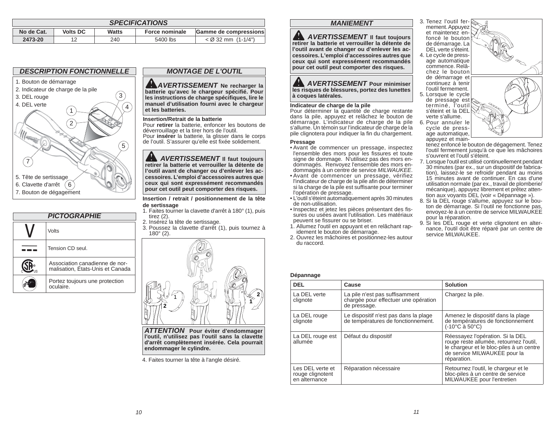| <b>SPECIFICATIONS</b> |                 |       |                |                       |
|-----------------------|-----------------|-------|----------------|-----------------------|
| No de Cat.            | <b>Volts DC</b> | Watts | Force nominale | Gamme de compressions |
| 2473-20               | 1つ              | 240   | 5400 lbs       | $<$ Ø 32 mm (1-1/4")  |



| <b>PICTOGRAPHIE</b> |                                                                    |  |
|---------------------|--------------------------------------------------------------------|--|
|                     | Volts                                                              |  |
|                     | Tension CD seul.                                                   |  |
|                     | Association canadienne de nor-<br>malisation, Etats-Unis et Canada |  |
|                     | Portez toujours une protection<br>oculaire                         |  |
|                     |                                                                    |  |

# *MONTAGE DE L'OUTIL*

*AVERTISSEMENT* **Ne recharger la batterie qu'avec le chargeur spécifi é. Pour les instructions de charge spécifi ques, lire le manuel d'utilisation fourni avec le chargeur et les batteries.**

### **Insertion/Retrait de la batterie**

 Pour **retirer** la batterie, enfoncer les boutons de déverrouillage et la tirer hors de l'outil. Pour **insérer** la batterie, la glisser dans le corps de l'outil. S'assurer qu'elle est fixée solidement.

 *AVERTISSEMENT* **Il faut toujours retirer la batterie et verrouiller la détente de l'outil avant de changer ou d'enlever les accessoires. L'emploi d'accessoires autres que ceux qui sont expressément recommandés pour cet outil peut comporter des risques.** 

#### **Insertion / retrait / positionnement de la tête de sertissage**

- 1. Faites tourner la clavette d'arrêt à 180° (1), puis tirez (2).
- 2. Insérez la tête de sertissage.
- 3. Poussez la clavette d'arrêt (1), puis tournez à 180° (2).



*ATTENTION* **Pour éviter d'endommager l'outil, n'utilisez pas l'outil sans la clavette d'arrêt complètement insérée. Cela pourrait endommager le cylindre.**

4. Faites tourner la tête à l'angle désiré.

# *MANIEMENT*

*A AVERTISSEMENT* **II** faut toujours **retirer la batterie et verrouiller la détente de l'outil avant de changer ou d'enlever les accessoires. L'emploi d'accessoires autres que ceux qui sont expressément recommandés pour cet outil peut comporter des risques.** 

# *AVERTISSEMENT* **Pour minimiser les risques de blessures, portez des lunettes à coques latérales.**

## **Indicateur de charge de la pile**

Pour déterminer la quantité de charge restante dans la pile, appuyez et relâchez le bouton de démarrage. L'indicateur de charge de la pile <sup>s</sup>'allume. Un témoin sur l'indicateur de charge de la pile clignotera pour indiquer la fin du chargement.

# **Pressage**

- Avant de commencer un pressage, inspectez l'ensemble des mors pour les fissures et toute signe de dommage. N'utilisez pas des mors endommagés. Renvoyez l'ensemble des mors endommagés à un centre de service *MILWAUKEE*.
- Avant de commencer un pressage, vérifiez l'indicateur de charge de la pile afin de déterminer si la charge de la pile est suffisante pour terminer l'opération de pressage.
- L'outil s'éteint automatiquement après 30 minutes de non-utilisation.
- · Inspectez et jetez les pièces présentant des fissures ou usées avant l'utilisation. Les matériaux peuvent se fissurer ou se briser.
- 1. Allumez l'outil en appuyant et en relâchant rapidement le bouton de démarrage.
- 2. Ouvrez les mâchoires et positionnez-les autour du raccord.



verte s'allume.

l'outil fermement. 5. Lorsque le cycle de pressage est<br>terminé, l'outil<br>s'éteint et la DEL 6. Pour annuler le cycle de pressage automatique,

appuyez et maintenez enfoncé le bouton de dégagement. Tenez l'outil fermement jusqu'à ce que les mâchoires s'ouvrent et l'outil s'éteint.

- 7. Lorsque l'outil est utilisé continuellement pendant 30 minutes (par ex., sur un dispositif de fabrication), laissez-le se refroidir pendant au moins 15 minutes avant de continuer. En cas d'une utilisation normale (par ex., travail de plomberie/ mécanique), appuyez librement et prêtez attention aux voyants DEL (voir « Dépannage »).
- 8. Si la DEL rouge s'allume, appuyez sur le bouton de démarrage. Si l'outil ne fonctionne pas, envoyez-le à un centre de service MILWAUKEE pour la réparation.
- 9. Si les DEL rouge et verte clignotent en alter-nance, l'outil doit être réparé par un centre de service MILWAUKEE.

## **Dépannage**

| ---------                                             |                                                                                        |                                                                                                                                                                        |  |  |
|-------------------------------------------------------|----------------------------------------------------------------------------------------|------------------------------------------------------------------------------------------------------------------------------------------------------------------------|--|--|
| <b>DEL</b>                                            | Cause                                                                                  | <b>Solution</b>                                                                                                                                                        |  |  |
| La DEL verte<br>clignote                              | La pile n'est pas suffisamment<br>chargée pour effectuer une opération<br>de pressage. | Chargez la pile.                                                                                                                                                       |  |  |
| La DEL rouge<br>clignote                              | Le dispositif n'est pas dans la plage<br>de températures de fonctionnement.            | Amenez le dispositif dans la plage<br>de températures de fonctionnement<br>$(-10^{\circ}C \land 50^{\circ}C)$                                                          |  |  |
| Défaut du dispositif<br>La DEL rouge est<br>allumée   |                                                                                        | Réessayez l'opération. Si la DEL<br>rouge reste allumée, retournez l'outil,<br>le chargeur et le bloc-piles à un centre<br>de service MILWAUKEE pour la<br>réparation. |  |  |
| Les DEL verte et<br>rouge clignotent<br>en alternance | Réparation nécessaire                                                                  | Retournez l'outil, le chargeur et le<br>bloc-piles à un centre de service<br>MILWAUKEE pour l'entretien                                                                |  |  |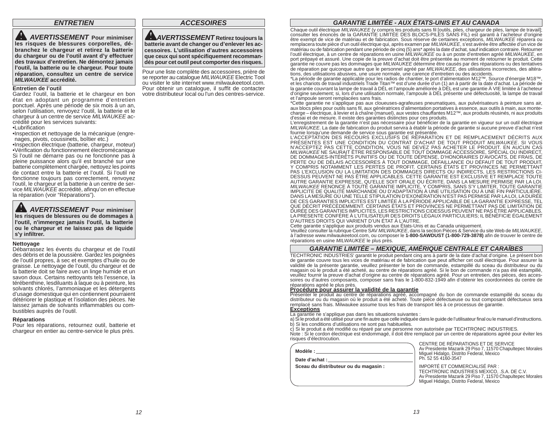# *ENTRETIEN*

 *AVERTISSEMENT* **Pour minimiser les risques de blessures corporelles, débranchez le chargeur et retirez la batterie du chargeur ou de l'outil avant d'y effectuer des travaux d'entretien. Ne démontez jamais l'outil, la batterie ou le chargeur. Pour toute réparation, consultez un centre de service** *MILWAUKEE* **accrédité.**

#### **Entretien de l'outil**

Gardez l'outil, la batterie et le chargeur en bon état en adoptant un programme d'entretien ponctuel. Après une période de six mois à un an, selon l'utilisation, renvoyez l'outil, la batterie et le chargeur à un centre de service *MILWAUKEE* accrédité pour les services suivants:

# •Lubrification

•Inspection et nettoyage de la mécanique (engrenages, pivots, coussinets, boîtier etc.)

•Inspection électrique (batterie, chargeur, moteur) •Vérification du fonctionnement électromécanique Si l'outil ne démarre pas ou ne fonctionne pas à pleine puissance alors qu'il est branché sur une batterie complètement chargée, nettoyez les points de contact entre la batterie et l'outil. Si l'outil ne fonctionne toujours pas correctement, renvoyez l'outil, le chargeur et la batterie à un centre de service *MILWAUKEE* accrédité, afinqu'on en effectue la réparation (voir "Réparations").

 *AVERTISSEMENT* **Pour minimiser les risques de blessures ou de dommages à l'outil, n'immergez jamais l'outil, la batterie ou le chargeur et ne laissez pas de liquide <sup>s</sup>'y infi ltrer.**

#### **Nettoyage**

Débarrassez les évents du chargeur et de l'outil des débris et de la poussière. Gardez les poignées de l'outil propres, à sec et exemptes d'huile ou de graisse. Le nettoyage de l'outil, du chargeur et de la batterie doit se faire avec un linge humide et un savon doux. Certains nettoyants tels l'essence, la térébenthine, lesdiluants à laque ou à peinture, les solvants chlorés, l'ammoniaque et les détergents d'usage domestique qui en contiennent pourraient détériorer le plastique et l'isolation des pièces. Ne laissez jamais de solvants inflammables ou combustibles auprès de l'outil.

#### **Réparations**

Pour les réparations, retournez outil, batterie et chargeur en entier au centre-service le plus près.

*ACCESOIRES*

*AVERTISSEMENT* **Retirez toujours la batterie avant de changer ou d'enlever les accessoires. L'utilisation d'autres accessoires que ceux qui sont spécifi quement recommandés pour cet outil peut comporter des risques.** 

Pour une liste complète des accessoires, prière de se reporter au catalogue *MILWAUKEE* Electric Tool ou visiter le site internet www.milwaukeetool.com. Pour obtenir un catalogue, il suffit de contacter votre distributeur local ou l'un des centres-service.

# *GARANTIE LIMITÉE - AUX ÉTATS-UNIS ET AU CANADA*

Chaque outil électrique MILWAUKEE (y compris les produits sans fil [outils, piles, chargeur de piles, lampe de travail]; consulter les énoncés de la GARANTIE LIMITÉE DES BLOCS-PILES SANS FIL) est garanti à l'acheteur d'ori être exempt de vice de matériau et de fabrication. Sous réserve de certaines exceptions, *MILWAUKEE* réparera ou remplacera toute pièce d'un outil électrique qui, après examen par *MILWAUKEE*, s'est avérée être affectée d'un vice de matériau ou de fabrication pendant une période de cinq (5) ans\* après la date d'achat, sauf indication contraire. Retourner l'outil électrique, à un centre de réparations en usine *MILWAUKEE* ou à un poste d'entretien agréé *MILWAUKEE*, en port prépayé et assuré. Une copie de la preuve d'achat doit être présentée au moment de retourner le produit. Cette garantie ne couvre pas les dommages que *MILWAUKEE* détermine être causés par des réparations ou des tentatives de réparation par quiconque autre que le personnel agréé par *MILWAUKEE*, des utilisations incorrectes, des altérations, des utilisations abusives, une usure normale, une carence d'entretien ou des accidents.

\*La période de garantie applicable pour les radios de chantier, le port d'alimentation M12™, Source d'énergie M18™,<br>et les chariots de travail industriels Trade Titan™ est d'une durée d'un (1) an à partir de la date d'ach la garantie couvrant la lampe de travail à DÉL et l'ampoule améliorée à DÉL est une garantie À VIE limitée à l'acheteur<br>d'origine seulement; si, lors d'une utilisation normale, l'ampoule à DÉL présente une défectuosité, la et l'ampoule seront remplacées sans frais.

\*Cette garantie ne s'applique pas aux cloueuses-agrafeuses pneumatiques, aux pulvérisateurs à peinture sans air, aux blocs piles pour outils sans fil, aux génératrices d'alimentation portatives à essence, aux outils à main, aux montecharge – électrique, à levier et à chaîne (manuel), aux vestes chauffantes M12™, aux produits réusinés, ni aux produits d'essai et de mesure. Il existe des garanties distinctes pour ces produits.

L'enregistrement de la garantie n'est pas nécessaire pour bénéficier de la garantie en vigueur sur un outil électrique *MILWAUKEE*. La date de fabrication du produit servira à établir la période de garantie si aucune preuve d'achat n'est

fournie lorsqu'une demande de service sous garantie est présentée.<br>L'ACCEPTATION DES RECOURS EXCLUSIFS DE RÉPARATION ET DE REMPLACEMENT DÉCRITS AUX PRÉSENTES EST UNE CONDITION DU CONTRAT D'ACHAT DE TOUT PRODUIT *MILWAUKEE*. SI VOUS N'ACCEPTEZ PAS CETTE CONDITION, VOUS NE DEVEZ PAS ACHETER LE PRODUIT. EN AUCUN CAS<br>MILWAUKEENE SAURAIT ÊTRE RESPONSABLE DE TOUT DOMMAGE ACCESSOIRE, SPÉCIAL OU INDIRECT, DE DOMMAGES-INTÉRÊTS PUNITIFS OU DE TOUTE DÉPENSE, D'HONORAIRES D'AVOCATS, DE FRAIS, DE<br>PERTE OU DE DÉLAIS ACCESSOIRES À TOUT DOMMAGE, DÉFAILLANCE OU DÉFAUT DE TOUT PRODUIT,<br>Y COMPRIS NOTAMMENT LES PERTES DE PROFIT. CERTAI PAS L'EXCLUSION OU LA LIMITATION DES DOMMAGES DIRECTS OU INDIRECTS, LES RESTRICTIONS CI-<br>DESSUS PEUVENT NE PAS ÊTRE APPLICABLES. CETTE GARANTIE EST EXCLUSIVE ET REMPLACE TOUTE AUTRE GARANTIE EXPRESSE, QU'ELLE SOIT ORALE OU ÉCRITE. DANS LA MESURE PERMISE PAR LA LOI. *MILWAUKEE* RENONCE À TOUTE GARANTIE IMPLICITE, Y COMPRIS, SANS S'Y LIMITER, TOUTE GARANTIE IMPLICITE DE QUALITÉ MARCHANDE OU D'ADAPTATION À UNE UTILISATION OU À UNE FIN PARTICULIÈRE. DANS LAMESURE OU UNE TELLE STIPULATION D'EXONÉRATION N'EST PAS PERMISE PAR LA LOI, LA DURÈE<br>DE CES GARANTIES IMPLICITES EST LIMITÉE À LA PÉRIODE APPLICABLE DE LA GARANTIE EXPRESSE, TEL<br>QUE DÉCRIT PRÉCÉDEMMENT. CERTAINS ÉTA LA PRÉSENTE CONFÈRE À L'UTILISATEUR DES DROITS LÉGAUX PARTICULIERS; IL BÉNÉFICIE ÉGALEMENT<br>D'AUTRES DROITS QUI VARIENT D'UN ÉTAT À L'AUTRE.

Cette garantie s'applique aux produits vendus aux États-Unis et au Canada uniquement.

Veuillez consulter la rubrique Centre SAV *MILWAUKEE*, dans la section Pièces & Service du site Web de *MILWAUKEE*, à l'adresse www.milwaukeetool.com, ou composer le **1-800-SAWDUST (1-800-729-3878)** afi n de trouver le centre de réparations en usine *MILWAUKEE* le plus près.

### *GARANTIE LIMITÉE – MEXIQUE, AMÉRIQUE CENTRALE ET CARAÏBES*

TECHTRONIC INDUSTRIES' garantit le produit pendant cinq ans à partir de la date d'achat d'origine. Le présent bon de garantie couvre tous les vices de matériau et de fabrication que peut afficher cet outil électrique. Pour assurer la validité de la présente garantie, veuillez présenter le bon de commande, estampillé du sceau du distributeur ou du magasin où le produit a été acheté, au centre de réparations agréé. Si le bon de commande n'a pas été estampillé, veuillez fournir la preuve d'achat d'origine au centre de réparations agréé. Pour un entretien, des pièces, des accessoires ou d'autres composants, composer sans frais le 1-800-832-1949 afin d'obtenir les coordonnées du centre de<br>réparations agréé le plus près.

réparations agréé le plus près.<br><mark>Procédure pour assurer la validité de la garantie</mark><br>Présenter le produit au centre de réparations agréé, accompagné du bon de commande estampillé du sceau du distributeur ou du magasin où le produit a été acheté. Toute pièce défectueuse ou tout composant défectueux sera remplacé sans frais. Milwaukee assume tous les frais de transport liés à ce processus de garantie. **Exceptions**

La garantie ne s'applique pas dans les situations suivantes :

a) Si le produit a été utilisé pour une fin autre que celle indiquée dans le guide de l'utilisateur final ou le manuel d'instructions. b) Si les conditions d'utilisations ne sont pas habituelles.

c) Si le produit a été modifié ou réparé par une personne non autorisée par TECHTRONIC INDUSTRIES. Note : Si le cordon électrique est endommagé, il doit être remplacé par un centre de réparations agréé pour éviter les<br>risques d'électrocution.

| Modèle :<br>Date d'achat :            | CENTRE DE REPARATIONS ET DE SERVICE<br>Av Presidente Mazarik 29 Piso 7, 11570 Chapultepec Morales<br>Miguel Hidalgo, Distrito Federal, Mexico<br>Ph. 52 55 4160-3547                    |
|---------------------------------------|-----------------------------------------------------------------------------------------------------------------------------------------------------------------------------------------|
| Sceau du distributeur ou du magasin : | IMPORTÉ ET COMMERCIALISÉ PAR :<br>TECHTRONIC INDUSTRIES MEXICO. .S.A. DE C.V.<br>Av Presidente Mazarik 29 Piso 7, 11570 Chapultepec Morales<br>Miquel Hidalgo, Distrito Federal, Mexico |

RÉPARATIONS ET DE SERVICE o, Distrito Federal, Mexico<br>i0-3547

COMMERCIALISÉ PAR : Mazarik 29 Piso 7, 11570 Chapultepec Morales go, Distrito Federal, Mexico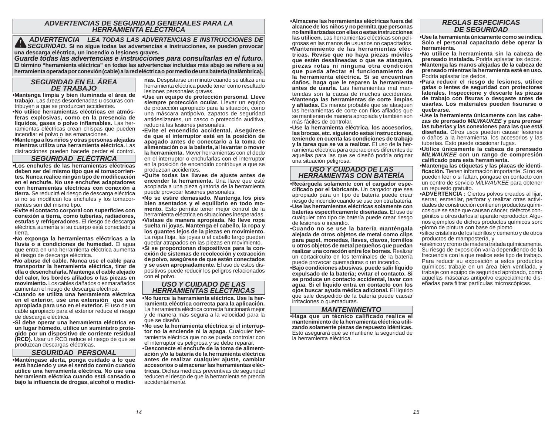# *ADVERTENCIAS DE SEGURIDAD GENERALES PARA LA HERRAMIENTA ELÉCTRICA*

 *ADVERTENCIA LEA TODAS LAS ADVERTENCIAS E INSTRUCCIONES DE SEGURIDAD.* **Si no sigue todas las advertencias e instrucciones, se pueden provocar una descarga eléctrica, un incendio o lesiones graves.** *Guarde todas las advertencias e instrucciones para consultarlas en el futuro.* 

**El término "herramienta eléctrica" en todas las advertencias incluidas más abajo se refi ere a su herramienta operada por conexión (cable) a la red eléctrica o por medio de una batería (inalámbrica).**

# *SEGURIDAD EN EL ÁREA DE TRABAJO*

 **• Mantenga limpia y bien iluminada el área de trabajo.** Las áreas desordenadas u oscuras contribuyen a que se produzcan accidentes.

**• No utilice herramientas eléctricas en atmósferas explosivas, como en la presencia de**  líquidos, gases o polvo inflamables. Las herramientas eléctricas crean chispas que pueden incendiar el polvo o las emanaciones.

**• Mantenga a los niños y otras personas alejadas mientras utiliza una herramienta eléctrica.** Las distracciones pueden hacerle perder el control.

### *SEGURIDAD ELÉCTRICA*

**• Los enchufes de las herramientas eléctricas deben ser del mismo tipo que el tomacorrientes. Nunca realice ningún tipo de modifi cación en el enchufe. No use enchufes adaptadores con herramientas eléctricas con conexión a tierra.** Se reducirá el riesgo de descarga eléctrica si no se modifican los enchufes y los tomacorrientes son del mismo tipo.

**• Evite el contacto corporal con superfi cies con conexión a tierra, como tuberías, radiadores, estufas y refrigeradores.** El riesgo de descarga eléctrica aumenta si su cuerpo está conectado a tierra.

**• No exponga la herramientas eléctricas a la lluvia o a condiciones de humedad.** El agua que entra en una herramienta eléctrica aumenta el riesgo de descarga eléctrica.

**• No abuse del cable. Nunca use el cable para transportar la herramienta eléctrica, tirar de ella o desenchufarla. Mantenga el cable alejado del calor, los bordes afi lados o las piezas en movimiento.** Los cables dañados o enmarañados aumentan el riesgo de descarga eléctrica.

**• Cuando se utiliza una herramienta eléctrica en el exterior, use una extensión que sea apropiada para uso en el exterior.** El uso de un cable apropiado para el exterior reduce el riesgo de descarga eléctrica.

**• Si debe operar una herramienta eléctrica en un lugar húmedo, utilice un suministro protegido por un dispositivo de corriente residual (RCD).** Usar un RCD reduce el riesgo de que se produzcan descargas eléctricas.

### *SEGURIDAD PERSONAL*

**• Manténgase alerta, ponga cuidado a lo que está haciendo y use el sentido común cuando utilice una herramienta eléctrica. No use una herramienta eléctrica cuando está cansado o bajo la infl uencia de drogas, alcohol o medici-** **nas.** Despistarse un minuto cuando se utiliza una herramienta eléctrica puede tener como resultado lesiones personales graves.

**• Use un equipo de protección personal. Lleve**  siempre protección ocular. Llevar un equipo de protección apropiado para la situación, como una máscara antipolvo, zapatos de seguridad antideslizantes, un casco o protección auditiva, reducirá las lesiones personales.

**• Evite el encendido accidental. Asegúrese de que el interruptor esté en la posición de apagado antes de conectarlo a la toma de alimentación o a la batería, al levantar o mover la herramienta.** Mover herramientas con el dedo en el interruptor o enchufarlas con el interruptor en la posición de encendido contribuye a que se produzcan accidentes.

**• Quite todas las llaves de ajuste antes de encender la herramienta.** Una llave que esté acoplada a una pieza giratoria de la herramienta puede provocar lesiones personales.

**• No se estire demasiado. Mantenga los pies bien asentados y el equilibrio en todo momento.** Esto permite tener mejor control de la herramienta eléctrica en situaciones inesperadas. **• Vístase de manera apropiada. No lleve ropa suelta ni joyas. Mantenga el cabello, la ropa y los guantes lejos de la piezas en movimiento.** La ropa floja, las joyas o el cabello largo pueden quedar atrapados en las piezas en movimiento. **• Si se proporcionan dispositivos para la conexión de sistemas de recolección y extracción de polvo, asegúrese de que estén conectados y se usen apropiadamente.** El uso de estos dispositivos puede reducir los peligros relacionados con el polvo.

# *USO Y CUIDADO DE LAS HERRAMIENTAS ELÉCTRICAS*

**• No fuerce la herramienta eléctrica. Use la herramienta eléctrica correcta para la aplicación.** La herramienta eléctrica correcta funcionará mejor y de manera más segura a la velocidad para la que se diseñó.

**• No use la herramienta eléctrica si el interruptor no la enciende ni la apaga.** Cualquier herramienta eléctrica que no se pueda controlar con el interruptor es peligrosa y se debe reparar.

**• Desconecte el enchufe de la toma de alimentación y/o la batería de la herramienta eléctrica antes de realizar cualquier ajuste, cambiar accesorios o almacenar las herramientas eléctricas.** Dichas medidas preventivas de seguridad reducen el riesgo de que la herramienta se prenda accidentalmente.

**• Almacene las herramientas eléctricas fuera del alcance de los niños y no permita que personas no familiarizadas con ellas o estas instrucciones las utilicen.** Las herramientas eléctricas son peligrosas en las manos de usuarios no capacitados. **• Mantenimiento de las herramientas eléctricas. Revise que no haya piezas móviles que estén desalineadas o que se atasquen, piezas rotas ni ninguna otra condición que pueda afectar el funcionamiento de la herramienta eléctrica. Si se encuentran daños, haga que le reparen la herramienta antes de usarla.** Las herramientas mal mantenidas son la causa de muchos accidentes. **• Mantenga las herramientas de corte limpias y afi ladas.** Es menos probable que se atasquen las herramientas de corte con filos afilados que se mantienen de manera apropiada y también son más fáciles de controlar.

 **• Use la herramienta eléctrica, los accesorios, las brocas, etc. siguiendo estas instrucciones, teniendo en cuenta las condiciones de trabajo y la tarea que se va a realizar.** El uso de la herramienta eléctrica para operaciones diferentes de aquellas para las que se diseñó podría originar una situación peligrosa.

# *USO Y CUIDADO DE LAS HERRAMIENTAS CON BATERÍA*

**• Recárguela solamente con el cargador especifi cado por el fabricante.** Un cargador que sea apropiado para un tipo de batería puede crear riesgo de incendio cuando se use con otra batería. **• Use las herramientas eléctricas solamente con baterías específi camente diseñadas.** El uso de cualquier otro tipo de batería puede crear riesgo de lesiones o incendio.

 **• Cuando no se use la batería manténgala alejada de otros objetos de metal como clips para papel, monedas, llaves, clavos, tornillos u otros objetos de metal pequeños que puedan realizar una conexión entre los bornes.** Realizar un cortacircuito en los terminales de la batería puede provocar quemaduras o un incendio.

**• Bajo condiciones abusivas, puede salir líquido expulsado de la batería; evitar el contacto. Si se produce un contacto accidental, lavar con agua. Si el líquido entra en contacto con los ojos buscar ayuda médica adicional.** El líquido que sale despedido de la batería puede causar irritaciones o quemaduras.

## *MANTENIMIENTO*

 **• Haga que un técnico calificado realice el mantenimiento de la herramienta eléctrica utilizando solamente piezas de repuesto idénticas.**  Esto asegurará que se mantiene la seguridad de la herramienta eléctrica.

# *REGLAS ESPECIFICAS DE SEGURIDAD*

**• Use la herramienta únicamente como se indica. Solo el personal capacitado debe operar la herramienta.** 

- **No utilice la herramienta sin la cabeza de prensado instalada.** Podría aplastar los dedos.
- **Mantenga las manos alejadas de la cabeza de prensado mientras la herramienta esté en uso.**  Podría aplastar los dedos.
- **Para reducir el riesgo de lesiones, utilice gafas o lentes de seguridad con protectores laterales. Inspeccione y descarte las piezas de trabajo con fi suras o desgaste antes de usarlas. Los materiales pueden fi surarse o quebrarse.**

**• Use la herramienta únicamente con las cabezas de prensado** *MILWAUKEE* **y para prensar las tuberías y las conexiones para las que está diseñada.** Otros usos pueden causar lesiones o daños a la herramienta, los accesorios y las tuberías. Esto puede ocasionar fugas.

**• Utilice únicamente la cabeza de prensado**  *MILWAUKEE* **con un rango de compresión califi cado para esta herramienta.**

**• Mantenga las etiquetas y las placas de identifi cación.** Tienen información importante. Si no se pueden leer o si faltan, póngase en contacto con un centro de servicio *MILWAUKEE* para obtener un repuesto gratuito.

**• ADVERTENCIA :** Ciertos polvos creados al lijar, serrar, esmerilar, perforar y realizar otras actividades de construcción contienen productos químicos que se sabe que causan cáncer, defectos congénitos u otros daños al aparato reproductor. Algunos ejemplos de dichos productos químicos son: • plomo de pintura con base de plomo

• sílice cristalino de los ladrillos y cemento y de otros productos de mampostería, y

• arsénico y cromo de madera tratada químicamente. Su riesgo de exposición varía dependiendo de la frecuencia con la que realice este tipo de trabajo. Para reducir su exposición a estos productos químicos: trabaje en un área bien ventilada, y trabaje con equipo de seguridad aprobado, como aquellas máscaras antipolvo especialmente diseñadas para filtrar partículas microscópicas.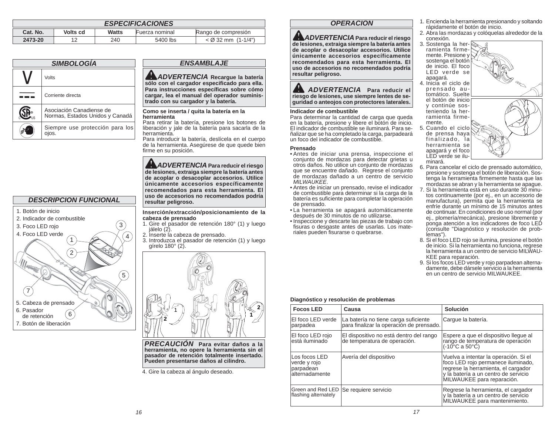| <b>ESPECIFICACIONES</b> |          |              |                |                      |
|-------------------------|----------|--------------|----------------|----------------------|
| Cat. No.                | Volts cd | <b>Watts</b> | Fuerza nominal | Rango de compresión  |
| 2473-20                 | 12       | 240          | 5400 lbs       | $<$ Ø 32 mm (1-1/4") |

| <b>SIMBOLOGÍA</b> |                                                             |  |
|-------------------|-------------------------------------------------------------|--|
| Volts             |                                                             |  |
|                   | Corriente directa                                           |  |
|                   | Asociación Canadiense de<br>Normas, Estados Unidos y Canadá |  |
|                   | Siempre use protección para los<br>oios.                    |  |



# *ENSAMBLAJE*

*ADVERTENCIA* **Recargue la batería**  sólo con el cargador especificado para ella. Para instrucciones específicas sobre cómo **cargar, lea el manual del operador suministrado con su cargador y la batería.** 

#### **Como se inserta / quita la batería en la herramienta**

 Para retirar la batería, presione los botones de liberación y jale de la batería para sacarla de la herramienta.

 Para introducir la batería, deslícela en el cuerpo de la herramienta. Asegúrese de que quede bien firme en su posición.

*ADVERTENCIA* **Para reducir el riesgo de lesiones, extraiga siempre la batería antes de acoplar o desacoplar accesorios. Utilice únicamente accesorios específicamente recomendados para esta herramienta. El uso de accesorios no recomendados podría resultar peligroso.**

#### **Inserción/extracción/posicionamiento de la cabeza de prensado**

- 1. Gire el pasador de retención 180° (1) y luego jálelo (2).
- 2. Inserte la cabeza de prensado.
- 3. Introduzca el pasador de retención (1) y luego gírelo 180° (2).



*PRECAUCIÓN* **Para evitar daños a la herramienta, no opere la herramienta sin el pasador de retención totalmente insertado. Pueden presentarse daños al cilindro.**

4. Gire la cabeza al ángulo deseado.

# *OPERACION*

*ADVERTENCIA* **Para reducir el riesgo de lesiones, extraiga siempre la batería antes de acoplar o desacoplar accesorios. Utilice únicamente accesorios específicamente recomendados para esta herramienta. El uso de accesorios no recomendados podría resultar peligroso.**

# *ADVERTENCIA* **Para reducir el riesgo de lesiones, use siempre lentes de seguridad o anteojos con protectores laterales.**

### **Indicador de combustible**

 Para determinar la cantidad de carga que queda en la batería, presione y libere el botón de inicio. El indicador de combustible se iluminará. Para señalizar que se ha completado la carga, parpadeará un foco del indicador de combustible.

## **Prensado**

- Antes de iniciar una prensa, inspeccione el conjunto de mordazas para detectar grietas u otros daños. No utilice un conjunto de mordazas que se encuentre dañado. Regrese el conjunto de mordazas dañado a un centro de servicio *MILWAUKEE*.
- Antes de iniciar un prensado, revise el indicador de combustible para determinar si la carga de la batería es suficiente para completar la operación de prensado.
- La herramienta se apagará automáticamente después de 30 minutos de no utilizarse.
- Inspeccione y descarte las piezas de trabajo con fisuras o desgaste antes de usarlas. Los materiales pueden fisurarse o quebrarse.
- 1. Encienda la herramienta presionando y soltando rápidamente el botón de inicio.
- 2. Abra las mordazas y colóquelas alrededor de la conexión.
- 3. Sostenga la herramienta firmemente. Presione y sostenga el botón de inicio. El foco LED verde se apagará.



- mente. 5. Cuando el ciclo de prensa haya finalizado, la herramienta se apagará y el foco LED verde se iluminará.
- 
- 6. Para cancelar el ciclo de prensado automático, presione y sostenga el botón de liberación. Sostenga la herramienta firmemente hasta que las mordazas se abran y la herramienta se apague.
- 7. Si la herramienta está en uso durante 30 minutos continuamente (por ej., en un accesorio de manufactura), permita que la herramienta se enfríe durante un mínimo de 15 minutos antes de continuar. En condiciones de uso normal (por ej., plomería/mecánica), presione libremente y ponga atención a los indicadores de foco LED (consulte "Diagnóstico y resolución de problemas").
- 8. Si el foco LED rojo se ilumina, presione el botón de inicio. Si la herramienta no funciona, regrese la herramienta a un centro de servicio MILWAU-KEE para reparación.
- 9. Si los focos LED verde y rojo parpadean alternadamente, debe dársele servicio a la herramienta en un centro de servicio MILWAUKEE.

## **Diagnóstico y resolución de problemas**

| <b>Focos LED</b>                                             | Causa                                                                            | Solución                                                                                                                                                                                 |
|--------------------------------------------------------------|----------------------------------------------------------------------------------|------------------------------------------------------------------------------------------------------------------------------------------------------------------------------------------|
| El foco LED verde<br>parpadea                                | La batería no tiene carga suficiente<br>para finalizar la operación de prensado. | Carque la batería.                                                                                                                                                                       |
| El foco LED rojo<br>está iluminado                           | El dispositivo no está dentro del rango<br>de temperatura de operación.          | Espere a que el dispositivo llegue al<br>rango de temperatura de operación<br>(-10 <sup>°</sup> C a 50°C)                                                                                |
| Los focos LED<br>verde y rojo<br>parpadean<br>alternadamente | Avería del dispositivo                                                           | Vuelva a intentar la operación. Si el<br>foco LED rojo permanece iluminado,<br>regrese la herramienta, el cargador<br>y la batería a un centro de servicio<br>MILWAUKEE para reparación. |
| Green and Red LED<br>flashing alternately                    | Se requiere servicio                                                             | Regrese la herramienta, el cargador<br>y la batería a un centro de servicio<br>MILWAUKEE para mantenimiento.                                                                             |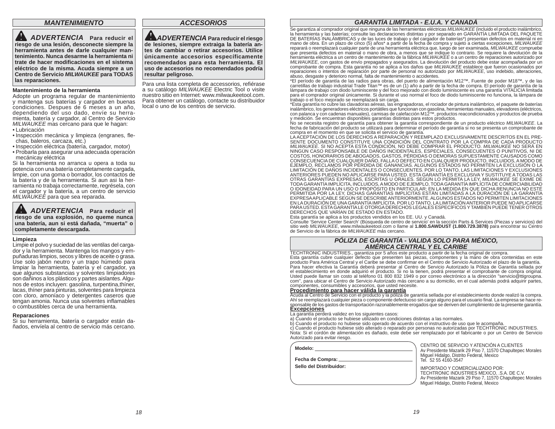# *MANTENIMIENTO*

 *ADVERTENCIA* **Para reducir el riesgo de una lesión, desconecte siempre la herramienta antes de darle cualquier mantenimiento. Nunca desarme la herramienta ni trate de hacer modifi caciones en el sistema eléctrico de la misma. Acuda siempre a un Centro de Servicio** *MILWAUKEE* **para TODAS las reparaciones.**

#### **Mantenimiento de la herramienta**

Adopte un programa regular de mantenimiento y mantenga sus baterías y cargador en buenas condiciones. Despues de 6 meses a un año, dependiendo del uso dado, envíe su herramienta, batería y cargador, al Centro de Servicio *MILWAUKEE* mas cercano para que le hagan:

- Lubricación
- · Inspección mecánica y limpieza (engranes, flechas, baleros, carcaza, etc.)
- Inspección eléctrica (batería, cargador, motor) • Probarla para asegurar una adecuada operación

mecánicay eléctrica Si la herramienta no arranca u opera a toda su potencia con una batería completamente cargada, limpie, con una goma o borrador, los contactos de la batería y de la herramienta. Si aun asi la herramienta no trabaja correctamente, regrésela, con

el cargador y la batería, a un centro de servicio

*MILWAUKEE* para que sea reparada.

 *ADVERTENCIA* **Para reducir el riesgo de una explosión, no queme nunca una batería, aun si está dañada, "muerta" o completamente descargada.**

#### **Limpieza**

Limpie el polvo y suciedad de las ventilas del cargador y la herramienta. Mantenga los mangos y empuñaduras limpios, secos y libres de aceite o grasa. Use solo jabón neutro y un trapo húmedo para limpiar la herramienta, batería y el cargador, ya que algunos substancias y solventes limpiadores son dañinos a los plásticos y partes aislantes. Algunos de estos incluyen: gasolina, turpentina,thíner, lacas, thíner para pinturas, solventes para limpieza con cloro, amoníaco y detergentes caseros que tengan amonia. Nunca usa solventes inflamables o combustibles cerca de una herramienta.

#### **Reparaciones**

Si su herramienta, batería o cargador están dañados, envíela al centro de servicio más cercano.

### *ACCESORIOS*

*ADVERTENCIA* **Para reducir el riesgo de lesiones, siempre extraiga la batería antes de cambiar o retirar accesorios. Utilice únicamente accesorios específicamente recomendados para esta herramienta. El uso de accesorios no recomendados podría resultar peligroso.**

Para una lista completa de accessorios, refiérase a su catálogo *MILWAUKEE* Electric Tool o visite nuestro sitio en Internet: www.milwaukeetool.com. Para obtener un catálogo, contacte su distribuidor local o uno de los centros de servicio.

### *GARANTÍA LIMITADA - E.U.A. Y CANADÁ*

Se garantiza al comprador original que ninguna de las herramientas eléctricas MILWAUKEE (incluido el producto inalámbrico, la herramienta y las baterías; consulte las declaraciones distintas y por separado en GARANTÍA LIMI mano de obra. En un plazo de cinco (5) años\* a partir de la fecha de compra y sujeto a ciertas excepciones, *MILWAUKEE* reparará o reemplazará cualquier parte de una herramienta eléctrica que, luego de ser examinada, *MILWAUKEE* compruebe que presenta defectos en material o mano de obra, a menos que se indique lo contrario. Se requiere la devolución de la herramienta eléctrica a un centro de mantenimiento de la fábrica *MILWAUKEE* o a un centro de reparaciones autorizado por *MILWAUKEE*, con gastos de envío prepagados y asegurados. La devolución del producto debe estar acompañada por un comprobante de compra. Esta garantía no se aplica a los daños que *MILWAUKEE* establece que fueron ocasionados por reparaciones o intentos de reparación por parte de personal no autorizado por *MILWAUKEE*, uso indebido, alteraciones, abuso, desgaste y deterioro normal, falta de mantenimiento o accidentes.

\*El período de garantía de las radios para obras, del puerto de alimentación M12™, Fuente de poder M18™, y de las carretillas de trabajo industrial Trade Titan™ es de un (1) año a partir de la fecha de compra. El período de garantía de la lámpara de trabajo con diodo luminiscente y del foco mejorado con diodo luminiscente es una garantía VITALICIA limitada para el comprador original únicamente. Si durante el uso normal el foco de diodo luminiscente no funciona, la lámpara de trabajo o el foco mejorado se reemplazará sin carga.

\*Esta garantía no cubre las clavadoras aéreas, las engrapadoras, el rociador de pintura inalámbrico, el paquete de baterías inalámbrico, los generadores eléctricos portátiles que funcionan con gasolina, herramientas manuales, elevadores (eléctricos,<br>con palanca y con cadenas manuales), camisas de calefacción M12™, productos reacondicionados y y medición. Se encuentran disponibles garantías distintas para estos productos.

No se necesita registro de garantía para obtener la garantía correspondiente de un producto eléctrico *MILWAUKEE*. La fecha de fabricación del producto se utilizará para determinar el período de garantía si no se presenta un comprobante de<br>compra en el momento en que se solicita el servicio de garantía.

LA ACEPTACIÓN DE LOS DERECHOS A REPARACIÓN Y REEMPLAZO EXCLUSIVAMENTE DESCRITOS EN EL PRE-SENTE DOCUMENTO CONSTITUYE UNA CONDICIÓN DEL CONTRATO POR LA COMPRA DE CADA PRODUCTO MILWAUKEE. SI NO ACEPTÀ ESTA CONDICIÓN, NO DEBE COMPRAR EL PRODUCTO. MILWAUKEE NO SERÁ EN<br>NINGUN CASO RESPONSABLE DE DAÑOS INCIDENTALES, ESPECIALES, CONSECUENTES O PUNITIVOS, NI<br>COSTOS, HONORARIOS DE ABOGADOS, GASTOS, PÉRD EXPRESA APLICABLE SEGÚN SE DESCRIBE ANTERIORMENTE. ALGUNOS ESTADOS NO PERMITEN LIMITACIONES<br>EN LA DURACIÓN DE UNA GARANTÍA IMPLÍCITA. POR LO TANTO, LA LIMITACIÓN ANTERIOR PUEDE NO APLICARSE<br>PARA USTED. ESTA GARANTÍA LE OTO DERECHOS QUE VARÍAN DE ESTADO EN ESTADO.

Esta garantía se aplica a los productos vendidos en los EE. UU. y Canadá.

Consulte 'Service Center Search' (Búsqueda de centro de servicio' en la sección Parts & Services (Piezas y servicios) del sitio web *MILWAUKEE*, www.milwaukeetool.com o llame al **1.800.SAWDUST (1.800.729.3878)** para encontrar su Centro de Servicio de la fábrica de *MILWAUKEE* más cercano.

# *PÓLIZA DE GARANTÍA - VALIDA SOLO PARA MÉXICO, AMÉRICA CENTRAL Y EL CARIBE*

TECHTRONIC INDUSTRIES., garantiza por 5 años este producto a partir de la fecha original de compra. Esta garantía cubre cualquier defecto que presenten las piezas, componentes y la mano de obra contenidas en este producto Para América Central y el Caribe se debe confirmar en el Centro de Servicio Autorizado el plazo de la garantía. Para hacer efectiva la Garantía deberá presentar al Centro de Servicio Autorizado la Póliza de Garantía sellada por el establecimiento en donde adquirió el producto. Si no la tienen, podrá presentar el comprobante de compra original. Usted puede llamar sin costo al teléfono 01 800 832 1949 o por correo electrónico a la dirección "servicio@ttigroupna. com", para ubicar el Centro de Servicio Autorizado más cercano a su domicilio, en el cual además podrá adquirir partes,<br>componentes, consumibles y accesorios, que usted necesite.

#### Procedimiento para hacer válida la garantía

Acuda al Centro de Servicio con el producto y la póliza de garantía sellada por el establecimiento donde realizó la compra. Ahí se reemplazará cualquier pieza o componente defectuoso sin cargo alguno para el usuario final. La empresa se hace responsable de los gastos de transportación razonablemente erogados que se deriven del cumplimiento de la presente garantía. **Excepciones**

La garantía perderá validez en los siguientes casos:

- a) Cuando el producto se hubiese utilizado en condiciones distintas a las normales.
- b) Cuando el producto no hubiese sido operado de acuerdo con el instructivo de uso que le acompaña.

c) Cuando el producto hubiese sido alterado o reparado por personas no autorizadas por TECHTRONIC INDUSTRIES. Nota: Si el cordón de alimentación es dañado, este debe ser remplazado por el fabricante o por un Centro de Servicio Autorizado para evitar riesgo.

| Modelo:<br>Fecha de Compra: __ | CENTRO DE SERVICIO Y ATENCIÓN A CLIENTES<br>Av Presidente Mazarik 29 Piso 7, 11570 Chapultepec Morales<br>Miguel Hidalgo, Distrito Federal, Mexico |
|--------------------------------|----------------------------------------------------------------------------------------------------------------------------------------------------|
|                                | Tel. 52 55 4160-3547                                                                                                                               |
| Sello del Distribuidor:        | IMPORTADO Y COMERCIALIZADO POR:<br>TECHTRONIC INDUSTRIES MEXICO, .S.A. DE C.V.<br>Av Presidente Mazarik 29 Piso 7, 11570 Chapultepec Morales       |

ORTADO Y COMERCIALIZADO POR: residente Mazarik 29 Piso 7, 11570 Chapultepec Morales Miguel Hidalgo, Distrito Federal, Mexico